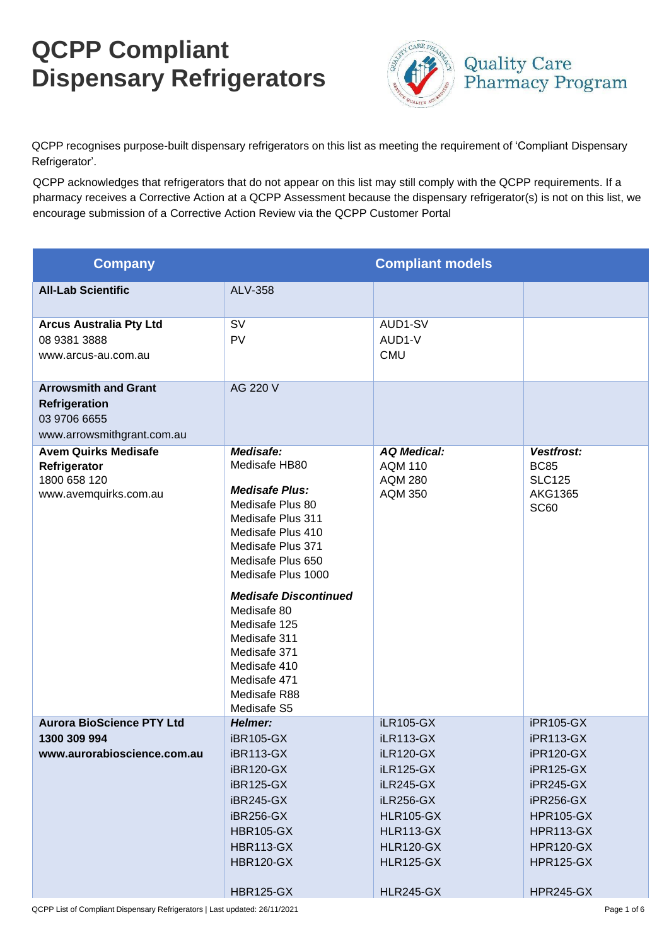## **QCPP Compliant Dispensary Refrigerators**



QCPP recognises purpose-built dispensary refrigerators on this list as meeting the requirement of 'Compliant Dispensary Refrigerator'.

QCPP acknowledges that refrigerators that do not appear on this list may still comply with the QCPP requirements. If a pharmacy receives a Corrective Action at a QCPP Assessment because the dispensary refrigerator(s) is not on this list, we encourage submission of a Corrective Action Review via the QCPP Customer Portal

| <b>Company</b>                                                                                    |                                                                                                                                                                                                                                                                                                                                                 | <b>Compliant models</b>                                                                                                                                                                                    |                                                                                                                                                                                                     |
|---------------------------------------------------------------------------------------------------|-------------------------------------------------------------------------------------------------------------------------------------------------------------------------------------------------------------------------------------------------------------------------------------------------------------------------------------------------|------------------------------------------------------------------------------------------------------------------------------------------------------------------------------------------------------------|-----------------------------------------------------------------------------------------------------------------------------------------------------------------------------------------------------|
| <b>All-Lab Scientific</b>                                                                         | <b>ALV-358</b>                                                                                                                                                                                                                                                                                                                                  |                                                                                                                                                                                                            |                                                                                                                                                                                                     |
| <b>Arcus Australia Pty Ltd</b><br>08 9381 3888<br>www.arcus-au.com.au                             | <b>SV</b><br><b>PV</b>                                                                                                                                                                                                                                                                                                                          | AUD1-SV<br>AUD1-V<br><b>CMU</b>                                                                                                                                                                            |                                                                                                                                                                                                     |
| <b>Arrowsmith and Grant</b><br><b>Refrigeration</b><br>03 9706 6655<br>www.arrowsmithgrant.com.au | AG 220 V                                                                                                                                                                                                                                                                                                                                        |                                                                                                                                                                                                            |                                                                                                                                                                                                     |
| <b>Avem Quirks Medisafe</b><br>Refrigerator<br>1800 658 120<br>www.avemquirks.com.au              | Medisafe:<br>Medisafe HB80<br><b>Medisafe Plus:</b><br>Medisafe Plus 80<br>Medisafe Plus 311<br>Medisafe Plus 410<br>Medisafe Plus 371<br>Medisafe Plus 650<br>Medisafe Plus 1000<br><b>Medisafe Discontinued</b><br>Medisafe 80<br>Medisafe 125<br>Medisafe 311<br>Medisafe 371<br>Medisafe 410<br>Medisafe 471<br>Medisafe R88<br>Medisafe S5 | <b>AQ Medical:</b><br><b>AQM 110</b><br><b>AQM 280</b><br><b>AQM 350</b>                                                                                                                                   | Vestfrost:<br><b>BC85</b><br><b>SLC125</b><br><b>AKG1365</b><br><b>SC60</b>                                                                                                                         |
| <b>Aurora BioScience PTY Ltd</b><br>1300 309 994<br>www.aurorabioscience.com.au                   | Helmer:<br><b>iBR105-GX</b><br><b>iBR113-GX</b><br><b>iBR120-GX</b><br><b>iBR125-GX</b><br><b>iBR245-GX</b><br>iBR256-GX<br><b>HBR105-GX</b><br><b>HBR113-GX</b><br><b>HBR120-GX</b><br><b>HBR125-GX</b>                                                                                                                                        | <b>iLR105-GX</b><br><b>iLR113-GX</b><br><b>iLR120-GX</b><br><b>iLR125-GX</b><br>iLR245-GX<br>iLR256-GX<br><b>HLR105-GX</b><br><b>HLR113-GX</b><br><b>HLR120-GX</b><br><b>HLR125-GX</b><br><b>HLR245-GX</b> | iPR105-GX<br><b>iPR113-GX</b><br>iPR120-GX<br><b>iPR125-GX</b><br><b>iPR245-GX</b><br>iPR256-GX<br><b>HPR105-GX</b><br><b>HPR113-GX</b><br><b>HPR120-GX</b><br><b>HPR125-GX</b><br><b>HPR245-GX</b> |

QCPP List of Compliant Dispensary Refrigerators | Last updated: 26/11/2021 Page 1 of 6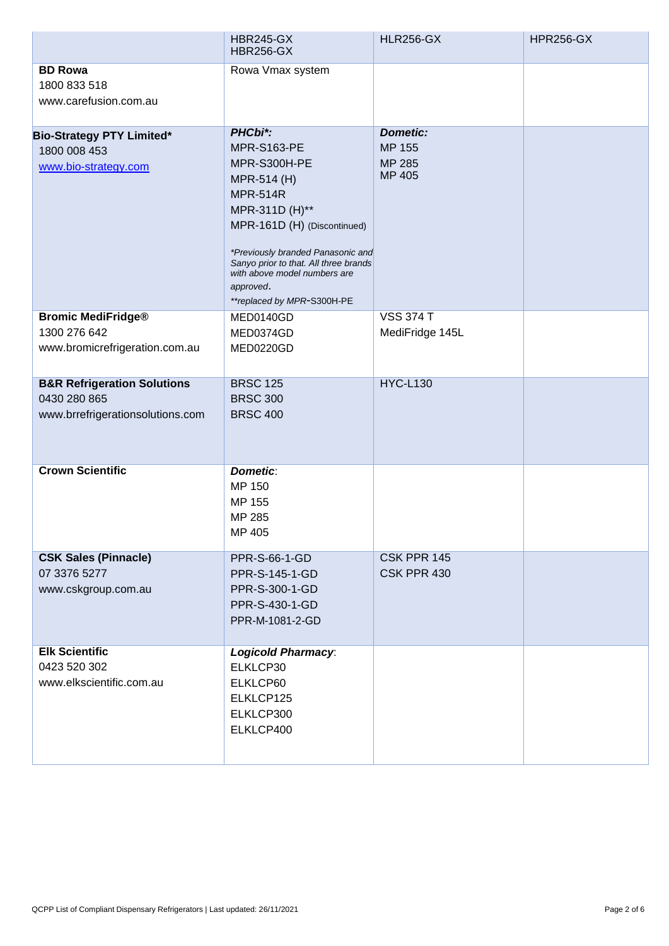|                                                                                            | <b>HBR245-GX</b><br><b>HBR256-GX</b>                                                                                                                                                                                                                                                      | <b>HLR256-GX</b>                                            | <b>HPR256-GX</b> |
|--------------------------------------------------------------------------------------------|-------------------------------------------------------------------------------------------------------------------------------------------------------------------------------------------------------------------------------------------------------------------------------------------|-------------------------------------------------------------|------------------|
| <b>BD Rowa</b><br>1800 833 518<br>www.carefusion.com.au                                    | Rowa Vmax system                                                                                                                                                                                                                                                                          |                                                             |                  |
| <b>Bio-Strategy PTY Limited*</b><br>1800 008 453<br>www.bio-strategy.com                   | PHCbi*:<br><b>MPR-S163-PE</b><br>MPR-S300H-PE<br>MPR-514 (H)<br><b>MPR-514R</b><br>MPR-311D (H)**<br>MPR-161D (H) (Discontinued)<br>*Previously branded Panasonic and<br>Sanyo prior to that. All three brands<br>with above model numbers are<br>approved.<br>**replaced by MPR-S300H-PE | <b>Dometic:</b><br><b>MP 155</b><br><b>MP 285</b><br>MP 405 |                  |
| <b>Bromic MediFridge®</b><br>1300 276 642<br>www.bromicrefrigeration.com.au                | MED0140GD<br>MED0374GD<br>MED0220GD                                                                                                                                                                                                                                                       | <b>VSS 374 T</b><br>MediFridge 145L                         |                  |
| <b>B&amp;R Refrigeration Solutions</b><br>0430 280 865<br>www.brrefrigerationsolutions.com | <b>BRSC 125</b><br><b>BRSC 300</b><br><b>BRSC 400</b>                                                                                                                                                                                                                                     | <b>HYC-L130</b>                                             |                  |
| <b>Crown Scientific</b>                                                                    | <b>Dometic:</b><br>MP 150<br>MP 155<br>MP 285<br>MP 405                                                                                                                                                                                                                                   |                                                             |                  |
| <b>CSK Sales (Pinnacle)</b><br>07 3376 5277<br>www.cskgroup.com.au                         | PPR-S-66-1-GD<br>PPR-S-145-1-GD<br>PPR-S-300-1-GD<br>PPR-S-430-1-GD<br>PPR-M-1081-2-GD                                                                                                                                                                                                    | CSK PPR 145<br>CSK PPR 430                                  |                  |
| <b>Elk Scientific</b><br>0423 520 302<br>www.elkscientific.com.au                          | <b>Logicold Pharmacy:</b><br>ELKLCP30<br>ELKLCP60<br>ELKLCP125<br>ELKLCP300<br>ELKLCP400                                                                                                                                                                                                  |                                                             |                  |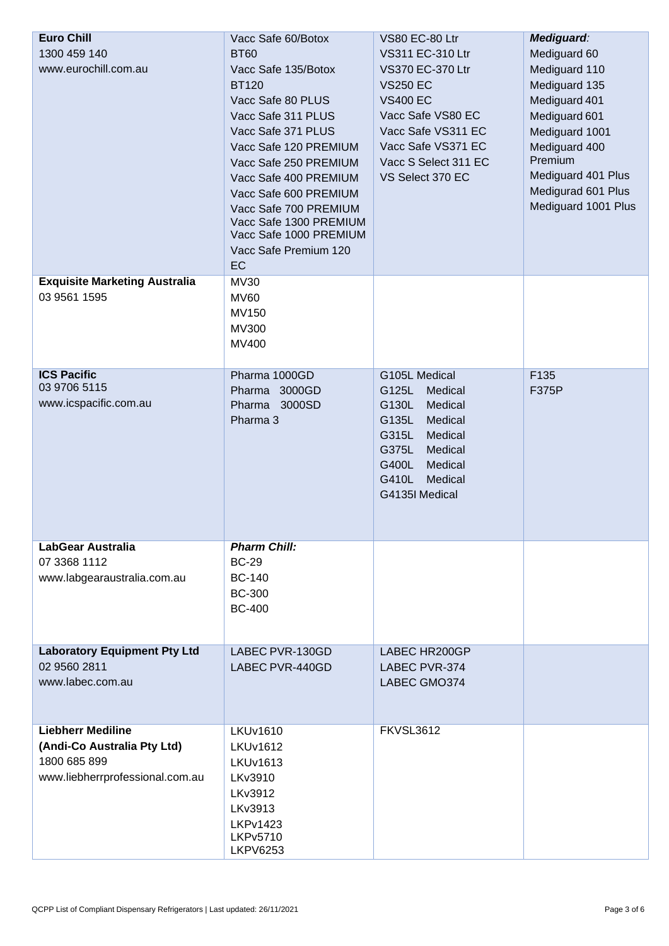| <b>Euro Chill</b><br>1300 459 140<br>www.eurochill.com.au                                                  | Vacc Safe 60/Botox<br><b>BT60</b><br>Vacc Safe 135/Botox<br><b>BT120</b><br>Vacc Safe 80 PLUS<br>Vacc Safe 311 PLUS<br>Vacc Safe 371 PLUS<br>Vacc Safe 120 PREMIUM<br>Vacc Safe 250 PREMIUM<br>Vacc Safe 400 PREMIUM<br>Vacc Safe 600 PREMIUM<br>Vacc Safe 700 PREMIUM<br>Vacc Safe 1300 PREMIUM<br>Vacc Safe 1000 PREMIUM<br>Vacc Safe Premium 120<br>EC | VS80 EC-80 Ltr<br>VS311 EC-310 Ltr<br>VS370 EC-370 Ltr<br><b>VS250 EC</b><br><b>VS400 EC</b><br>Vacc Safe VS80 EC<br>Vacc Safe VS311 EC<br>Vacc Safe VS371 EC<br>Vacc S Select 311 EC<br>VS Select 370 EC | Mediguard:<br>Mediguard 60<br>Mediguard 110<br>Mediguard 135<br>Mediguard 401<br>Mediguard 601<br>Mediguard 1001<br>Mediguard 400<br>Premium<br>Mediguard 401 Plus<br>Medigurad 601 Plus<br>Mediguard 1001 Plus |
|------------------------------------------------------------------------------------------------------------|-----------------------------------------------------------------------------------------------------------------------------------------------------------------------------------------------------------------------------------------------------------------------------------------------------------------------------------------------------------|-----------------------------------------------------------------------------------------------------------------------------------------------------------------------------------------------------------|-----------------------------------------------------------------------------------------------------------------------------------------------------------------------------------------------------------------|
| <b>Exquisite Marketing Australia</b><br>03 9561 1595                                                       | <b>MV30</b><br><b>MV60</b><br>MV150<br>MV300<br>MV400                                                                                                                                                                                                                                                                                                     |                                                                                                                                                                                                           |                                                                                                                                                                                                                 |
| <b>ICS Pacific</b><br>03 9706 5115<br>www.icspacific.com.au                                                | Pharma 1000GD<br>Pharma 3000GD<br>Pharma 3000SD<br>Pharma 3                                                                                                                                                                                                                                                                                               | G105L Medical<br>G125L<br>Medical<br>G130L<br>Medical<br>G135L<br>Medical<br>G315L<br>Medical<br>G375L<br>Medical<br>G400L<br>Medical<br>G410L<br>Medical<br>G4135I Medical                               | F135<br>F375P                                                                                                                                                                                                   |
| LabGear Australia<br>07 3368 1112<br>www.labgearaustralia.com.au                                           | <b>Pharm Chill:</b><br><b>BC-29</b><br><b>BC-140</b><br><b>BC-300</b><br><b>BC-400</b>                                                                                                                                                                                                                                                                    |                                                                                                                                                                                                           |                                                                                                                                                                                                                 |
| <b>Laboratory Equipment Pty Ltd</b><br>02 9560 2811<br>www.labec.com.au                                    | LABEC PVR-130GD<br>LABEC PVR-440GD                                                                                                                                                                                                                                                                                                                        | LABEC HR200GP<br>LABEC PVR-374<br>LABEC GMO374                                                                                                                                                            |                                                                                                                                                                                                                 |
| <b>Liebherr Mediline</b><br>(Andi-Co Australia Pty Ltd)<br>1800 685 899<br>www.liebherrprofessional.com.au | <b>LKUv1610</b><br><b>LKUv1612</b><br><b>LKUv1613</b><br><b>LKv3910</b><br><b>LKv3912</b><br>LKv3913<br><b>LKPv1423</b><br><b>LKPv5710</b><br><b>LKPV6253</b>                                                                                                                                                                                             | <b>FKVSL3612</b>                                                                                                                                                                                          |                                                                                                                                                                                                                 |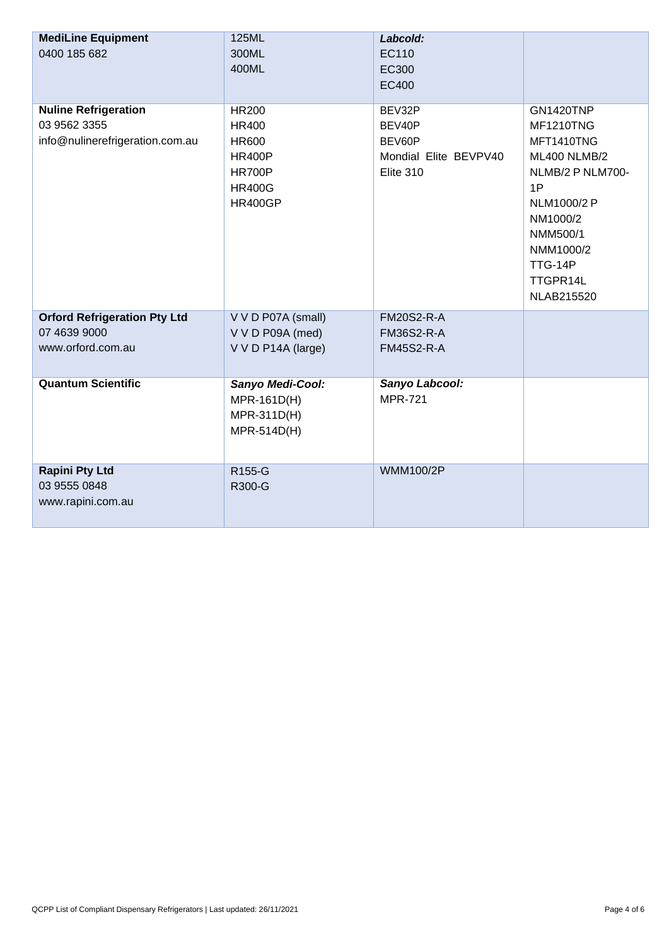| <b>MediLine Equipment</b><br>0400 185 682 | 125ML<br>300ML     | Labcold:<br>EC110     |                     |
|-------------------------------------------|--------------------|-----------------------|---------------------|
|                                           | 400ML              | EC300                 |                     |
|                                           |                    | <b>EC400</b>          |                     |
|                                           |                    |                       |                     |
| <b>Nuline Refrigeration</b>               | <b>HR200</b>       | BEV32P                | <b>GN1420TNP</b>    |
| 03 9562 3355                              | <b>HR400</b>       | BEV40P                | <b>MF1210TNG</b>    |
| info@nulinerefrigeration.com.au           | <b>HR600</b>       | BEV60P                | MFT1410TNG          |
|                                           | <b>HR400P</b>      | Mondial Elite BEVPV40 | <b>ML400 NLMB/2</b> |
|                                           | <b>HR700P</b>      | Elite 310             | NLMB/2 P NLM700-    |
|                                           | <b>HR400G</b>      |                       | 1P                  |
|                                           | <b>HR400GP</b>     |                       | NLM1000/2 P         |
|                                           |                    |                       | NM1000/2            |
|                                           |                    |                       | NMM500/1            |
|                                           |                    |                       | NMM1000/2           |
|                                           |                    |                       | TTG-14P             |
|                                           |                    |                       | TTGPR14L            |
|                                           |                    |                       | NLAB215520          |
| <b>Orford Refrigeration Pty Ltd</b>       | V V D P07A (small) | <b>FM20S2-R-A</b>     |                     |
| 07 4639 9000                              | V V D P09A (med)   | <b>FM36S2-R-A</b>     |                     |
| www.orford.com.au                         | V V D P14A (large) | <b>FM45S2-R-A</b>     |                     |
|                                           |                    |                       |                     |
| <b>Quantum Scientific</b>                 | Sanyo Medi-Cool:   | Sanyo Labcool:        |                     |
|                                           | MPR-161D(H)        | <b>MPR-721</b>        |                     |
|                                           | MPR-311D(H)        |                       |                     |
|                                           | MPR-514D(H)        |                       |                     |
|                                           |                    |                       |                     |
| <b>Rapini Pty Ltd</b>                     | R155-G             | <b>WMM100/2P</b>      |                     |
| 03 9555 0848                              | R300-G             |                       |                     |
| www.rapini.com.au                         |                    |                       |                     |
|                                           |                    |                       |                     |
|                                           |                    |                       |                     |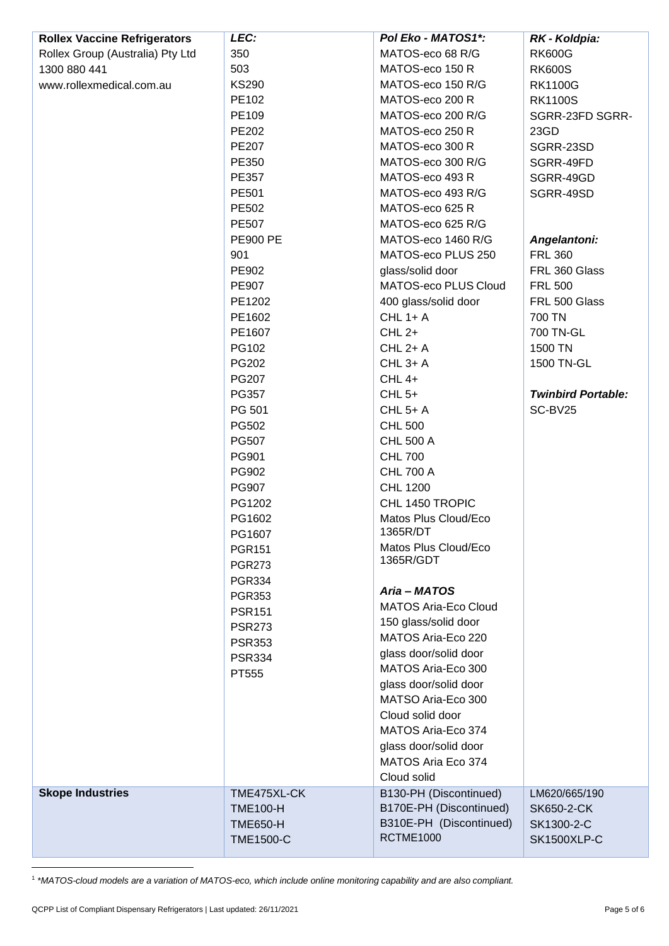| <b>Rollex Vaccine Refrigerators</b> | LEC:             | Pol Eko - MATOS1*:          | RK - Koldpia:             |
|-------------------------------------|------------------|-----------------------------|---------------------------|
| Rollex Group (Australia) Pty Ltd    | 350              | MATOS-eco 68 R/G            | <b>RK600G</b>             |
| 1300 880 441                        | 503              | MATOS-eco 150 R             | <b>RK600S</b>             |
| www.rollexmedical.com.au            | <b>KS290</b>     | MATOS-eco 150 R/G           | <b>RK1100G</b>            |
|                                     | PE102            | MATOS-eco 200 R             | <b>RK1100S</b>            |
|                                     | PE109            | MATOS-eco 200 R/G           | SGRR-23FD SGRR-           |
|                                     | PE202            | MATOS-eco 250 R             | 23GD                      |
|                                     | PE207            | MATOS-eco 300 R             | SGRR-23SD                 |
|                                     | PE350            | MATOS-eco 300 R/G           | SGRR-49FD                 |
|                                     | PE357            | MATOS-eco 493 R             | SGRR-49GD                 |
|                                     | PE501            | MATOS-eco 493 R/G           | SGRR-49SD                 |
|                                     | PE502            | MATOS-eco 625 R             |                           |
|                                     | <b>PE507</b>     | MATOS-eco 625 R/G           |                           |
|                                     | <b>PE900 PE</b>  | MATOS-eco 1460 R/G          | Angelantoni:              |
|                                     | 901              | MATOS-eco PLUS 250          | <b>FRL 360</b>            |
|                                     | PE902            | glass/solid door            | FRL 360 Glass             |
|                                     | PE907            | MATOS-eco PLUS Cloud        | <b>FRL 500</b>            |
|                                     | PE1202           | 400 glass/solid door        | FRL 500 Glass             |
|                                     | PE1602           | $CHL$ 1+ A                  | 700 TN                    |
|                                     | PE1607           | $CHL2+$                     | 700 TN-GL                 |
|                                     | PG102            | $CHL 2+A$                   | 1500 TN                   |
|                                     | PG202            | <b>CHL 3+ A</b>             | 1500 TN-GL                |
|                                     | <b>PG207</b>     | <b>CHL 4+</b>               |                           |
|                                     | PG357            | $CHL5+$                     | <b>Twinbird Portable:</b> |
|                                     | PG 501           | <b>CHL 5+ A</b>             | SC-BV25                   |
|                                     | PG502            | <b>CHL 500</b>              |                           |
|                                     | PG507            | <b>CHL 500 A</b>            |                           |
|                                     | PG901            | <b>CHL 700</b>              |                           |
|                                     | PG902            | <b>CHL 700 A</b>            |                           |
|                                     | PG907            | <b>CHL 1200</b>             |                           |
|                                     | PG1202           | CHL 1450 TROPIC             |                           |
|                                     | PG1602           | Matos Plus Cloud/Eco        |                           |
|                                     | PG1607           | 1365R/DT                    |                           |
|                                     | <b>PGR151</b>    | Matos Plus Cloud/Eco        |                           |
|                                     | <b>PGR273</b>    | 1365R/GDT                   |                           |
|                                     | <b>PGR334</b>    |                             |                           |
|                                     | <b>PGR353</b>    | Aria - MATOS                |                           |
|                                     | <b>PSR151</b>    | <b>MATOS Aria-Eco Cloud</b> |                           |
|                                     | <b>PSR273</b>    | 150 glass/solid door        |                           |
|                                     | <b>PSR353</b>    | MATOS Aria-Eco 220          |                           |
|                                     | <b>PSR334</b>    | glass door/solid door       |                           |
|                                     | PT555            | MATOS Aria-Eco 300          |                           |
|                                     |                  | glass door/solid door       |                           |
|                                     |                  | MATSO Aria-Eco 300          |                           |
|                                     |                  | Cloud solid door            |                           |
|                                     |                  | MATOS Aria-Eco 374          |                           |
|                                     |                  | glass door/solid door       |                           |
|                                     |                  | MATOS Aria Eco 374          |                           |
|                                     |                  | Cloud solid                 |                           |
| <b>Skope Industries</b>             | TME475XL-CK      | B130-PH (Discontinued)      | LM620/665/190             |
|                                     | <b>TME100-H</b>  | B170E-PH (Discontinued)     | <b>SK650-2-CK</b>         |
|                                     | <b>TME650-H</b>  | B310E-PH (Discontinued)     | SK1300-2-C                |
|                                     | <b>TME1500-C</b> | <b>RCTME1000</b>            | <b>SK1500XLP-C</b>        |

1 *\*MATOS-cloud models are a variation of MATOS-eco, which include online monitoring capability and are also compliant.*